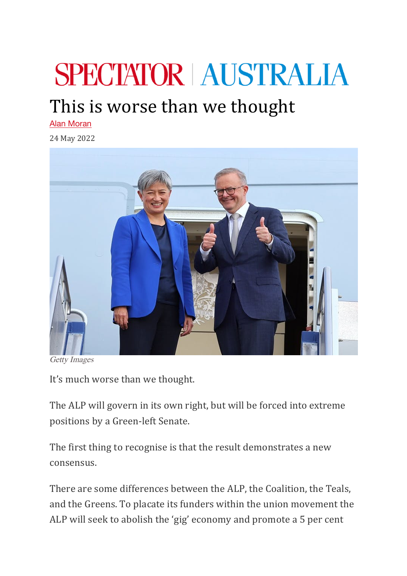## **SPECTATOR AUSTRALIA**

## This is worse than we thought

Alan Moran

24 May 2022



Getty Images

It's much worse than we thought.

The ALP will govern in its own right, but will be forced into extreme positions by a Green-left Senate.

The first thing to recognise is that the result demonstrates a new consensus.

There are some differences between the ALP, the Coalition, the Teals, and the Greens. To placate its funders within the union movement the ALP will seek to abolish the 'gig' economy and promote a 5 per cent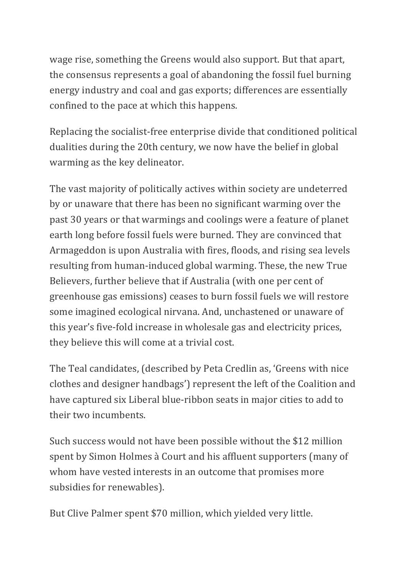wage rise, something the Greens would also support. But that apart, the consensus represents a goal of abandoning the fossil fuel burning energy industry and coal and gas exports; differences are essentially confined to the pace at which this happens.

Replacing the socialist-free enterprise divide that conditioned political dualities during the 20th century, we now have the belief in global warming as the key delineator.

The vast majority of politically actives within society are undeterred by or unaware that there has been no significant warming over the past 30 years or that warmings and coolings were a feature of planet earth long before fossil fuels were burned. They are convinced that Armageddon is upon Australia with fires, floods, and rising sea levels resulting from human-induced global warming. These, the new True Believers, further believe that if Australia (with one per cent of greenhouse gas emissions) ceases to burn fossil fuels we will restore some imagined ecological nirvana. And, unchastened or unaware of this year's five-fold increase in wholesale gas and electricity prices, they believe this will come at a trivial cost.

The Teal candidates, (described by Peta Credlin as, 'Greens with nice clothes and designer handbags') represent the left of the Coalition and have captured six Liberal blue-ribbon seats in major cities to add to their two incumbents.

Such success would not have been possible without the \$12 million spent by Simon Holmes à Court and his affluent supporters (many of whom have vested interests in an outcome that promises more subsidies for renewables).

But Clive Palmer spent \$70 million, which yielded very little.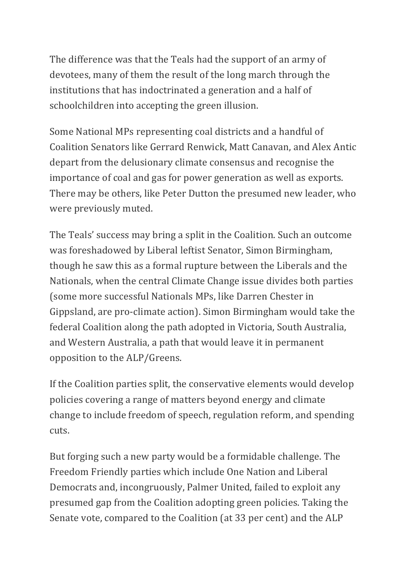The difference was that the Teals had the support of an army of devotees, many of them the result of the long march through the institutions that has indoctrinated a generation and a half of schoolchildren into accepting the green illusion.

Some National MPs representing coal districts and a handful of Coalition Senators like Gerrard Renwick, Matt Canavan, and Alex Antic depart from the delusionary climate consensus and recognise the importance of coal and gas for power generation as well as exports. There may be others, like Peter Dutton the presumed new leader, who were previously muted.

The Teals' success may bring a split in the Coalition. Such an outcome was foreshadowed by Liberal leftist Senator, Simon Birmingham, though he saw this as a formal rupture between the Liberals and the Nationals, when the central Climate Change issue divides both parties (some more successful Nationals MPs, like Darren Chester in Gippsland, are pro-climate action). Simon Birmingham would take the federal Coalition along the path adopted in Victoria, South Australia, and Western Australia, a path that would leave it in permanent opposition to the ALP/Greens.

If the Coalition parties split, the conservative elements would develop policies covering a range of matters beyond energy and climate change to include freedom of speech, regulation reform, and spending cuts.

But forging such a new party would be a formidable challenge. The Freedom Friendly parties which include One Nation and Liberal Democrats and, incongruously, Palmer United, failed to exploit any presumed gap from the Coalition adopting green policies. Taking the Senate vote, compared to the Coalition (at 33 per cent) and the ALP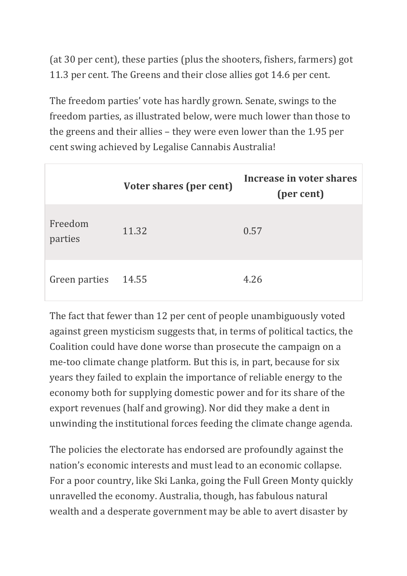(at 30 per cent), these parties (plus the shooters, fishers, farmers) got 11.3 per cent. The Greens and their close allies got 14.6 per cent.

The freedom parties' vote has hardly grown. Senate, swings to the freedom parties, as illustrated below, were much lower than those to the greens and their allies - they were even lower than the 1.95 per cent swing achieved by Legalise Cannabis Australia!

|                    | Voter shares (per cent) | Increase in voter shares<br>(per cent) |
|--------------------|-------------------------|----------------------------------------|
| Freedom<br>parties | 11.32                   | 0.57                                   |
| Green parties      | 14.55                   | 4.26                                   |

The fact that fewer than 12 per cent of people unambiguously voted against green mysticism suggests that, in terms of political tactics, the Coalition could have done worse than prosecute the campaign on a me-too climate change platform. But this is, in part, because for six years they failed to explain the importance of reliable energy to the economy both for supplying domestic power and for its share of the export revenues (half and growing). Nor did they make a dent in unwinding the institutional forces feeding the climate change agenda.

The policies the electorate has endorsed are profoundly against the nation's economic interests and must lead to an economic collapse. For a poor country, like Ski Lanka, going the Full Green Monty quickly unravelled the economy. Australia, though, has fabulous natural wealth and a desperate government may be able to avert disaster by